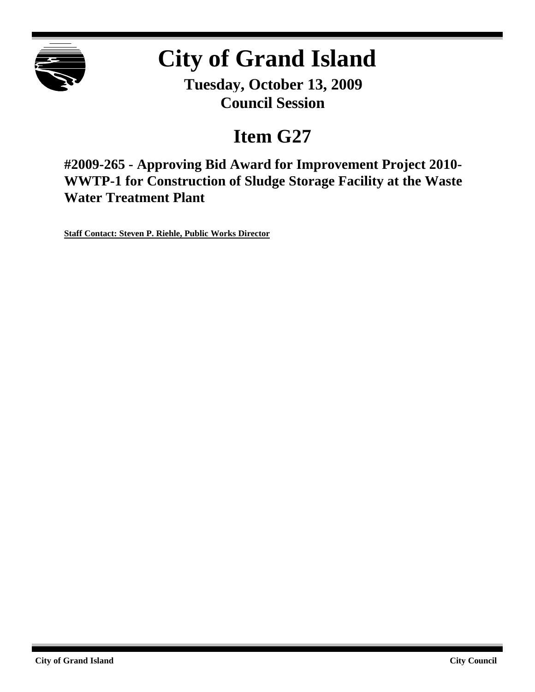

# **City of Grand Island**

**Tuesday, October 13, 2009 Council Session**

## **Item G27**

**#2009-265 - Approving Bid Award for Improvement Project 2010- WWTP-1 for Construction of Sludge Storage Facility at the Waste Water Treatment Plant**

**Staff Contact: Steven P. Riehle, Public Works Director**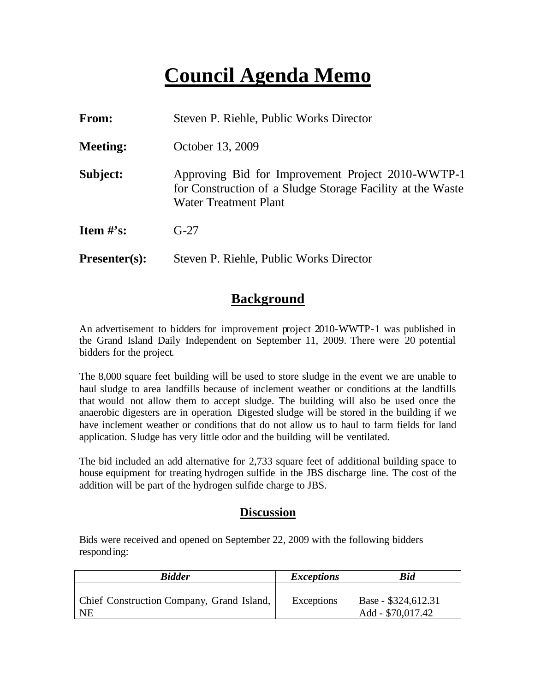## **Council Agenda Memo**

| <b>From:</b>    | Steven P. Riehle, Public Works Director                                                                                                         |
|-----------------|-------------------------------------------------------------------------------------------------------------------------------------------------|
| <b>Meeting:</b> | October 13, 2009                                                                                                                                |
| Subject:        | Approving Bid for Improvement Project 2010-WWTP-1<br>for Construction of a Sludge Storage Facility at the Waste<br><b>Water Treatment Plant</b> |
| Item $\#$ 's:   | $G-27$                                                                                                                                          |
| $Presenter(s):$ | Steven P. Riehle, Public Works Director                                                                                                         |

### **Background**

An advertisement to bidders for improvement project 2010-WWTP-1 was published in the Grand Island Daily Independent on September 11, 2009. There were 20 potential bidders for the project.

The 8,000 square feet building will be used to store sludge in the event we are unable to haul sludge to area landfills because of inclement weather or conditions at the landfills that would not allow them to accept sludge. The building will also be used once the anaerobic digesters are in operation. Digested sludge will be stored in the building if we have inclement weather or conditions that do not allow us to haul to farm fields for land application. Sludge has very little odor and the building will be ventilated.

The bid included an add alternative for 2,733 square feet of additional building space to house equipment for treating hydrogen sulfide in the JBS discharge line. The cost of the addition will be part of the hydrogen sulfide charge to JBS.

#### **Discussion**

Bids were received and opened on September 22, 2009 with the following bidders responding:

| <b>Bidder</b>                                          | <i>Exceptions</i> | <b>Bid</b>                               |
|--------------------------------------------------------|-------------------|------------------------------------------|
| <b>Chief Construction Company, Grand Island,</b><br>NE | Exceptions        | Base - \$324,612.31<br>Add - \$70,017.42 |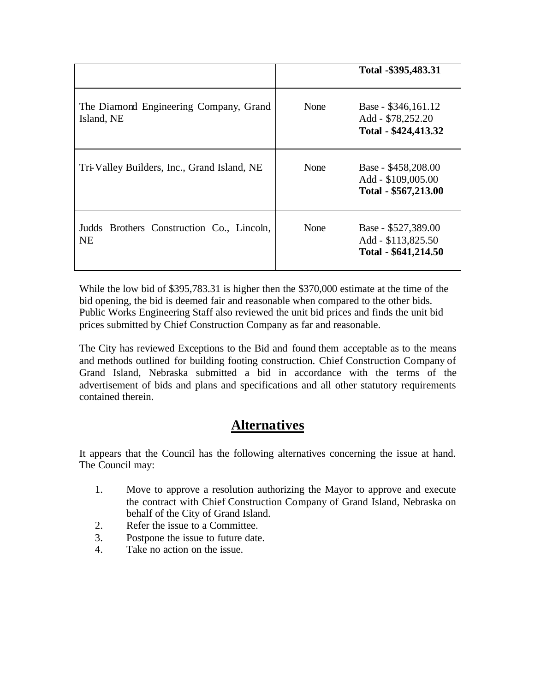|                                                        |      | Total -\$395,483.31                                               |
|--------------------------------------------------------|------|-------------------------------------------------------------------|
| The Diamond Engineering Company, Grand<br>Island, NE   | None | Base - \$346,161.12<br>Add - \$78,252.20<br>Total - \$424,413.32  |
| Tri-Valley Builders, Inc., Grand Island, NE            | None | Base - \$458,208.00<br>Add - \$109,005.00<br>Total - \$567,213.00 |
| Judds Brothers Construction Co., Lincoln,<br><b>NE</b> | None | Base - \$527,389.00<br>Add - \$113,825.50<br>Total - \$641,214.50 |

While the low bid of \$395,783.31 is higher then the \$370,000 estimate at the time of the bid opening, the bid is deemed fair and reasonable when compared to the other bids. Public Works Engineering Staff also reviewed the unit bid prices and finds the unit bid prices submitted by Chief Construction Company as far and reasonable.

The City has reviewed Exceptions to the Bid and found them acceptable as to the means and methods outlined for building footing construction. Chief Construction Company of Grand Island, Nebraska submitted a bid in accordance with the terms of the advertisement of bids and plans and specifications and all other statutory requirements contained therein.

## **Alternatives**

It appears that the Council has the following alternatives concerning the issue at hand. The Council may:

- 1. Move to approve a resolution authorizing the Mayor to approve and execute the contract with Chief Construction Company of Grand Island, Nebraska on behalf of the City of Grand Island.
- 2. Refer the issue to a Committee.
- 3. Postpone the issue to future date.
- 4. Take no action on the issue.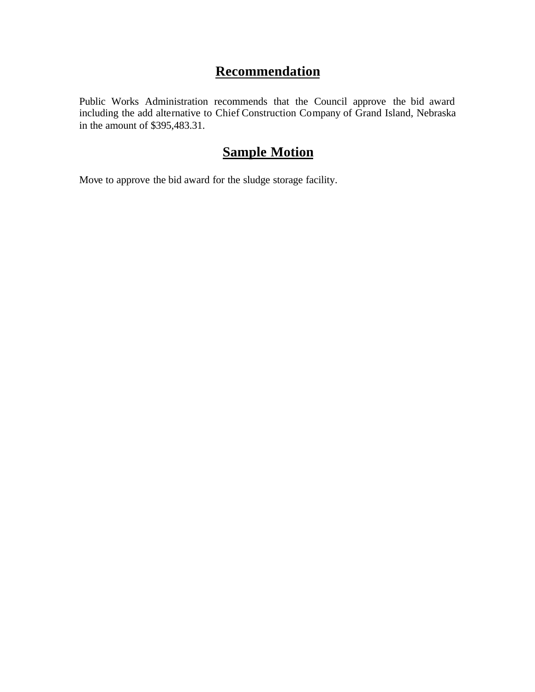## **Recommendation**

Public Works Administration recommends that the Council approve the bid award including the add alternative to Chief Construction Company of Grand Island, Nebraska in the amount of \$395,483.31.

## **Sample Motion**

Move to approve the bid award for the sludge storage facility.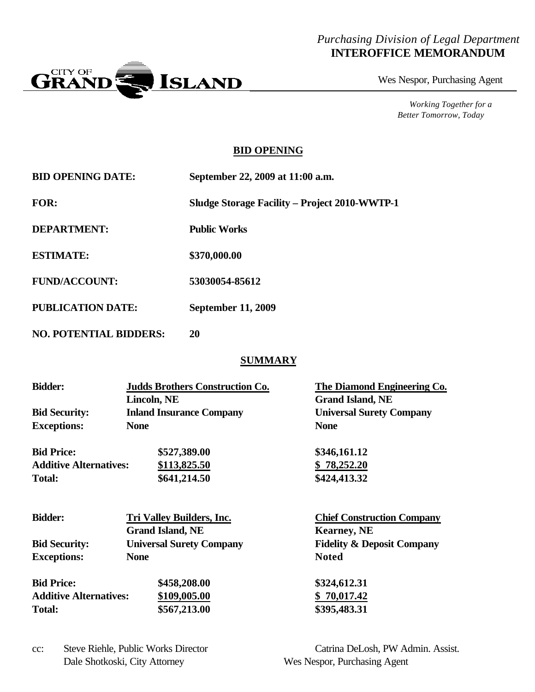### *Purchasing Division of Legal Department* **INTEROFFICE MEMORANDUM**



Wes Nespor, Purchasing Agent

*Working Together for a Better Tomorrow, Today*

#### **BID OPENING**

| <b>BID OPENING DATE:</b> | September 22, 2009 at 11:00 a.m.                     |
|--------------------------|------------------------------------------------------|
| FOR:                     | <b>Sludge Storage Facility – Project 2010-WWTP-1</b> |
| <b>DEPARTMENT:</b>       | <b>Public Works</b>                                  |
| <b>ESTIMATE:</b>         | \$370,000.00                                         |
| <b>FUND/ACCOUNT:</b>     | 53030054-85612                                       |
| <b>PUBLICATION DATE:</b> | <b>September 11, 2009</b>                            |
|                          |                                                      |

**NO. POTENTIAL BIDDERS: 20**

#### **SUMMARY**

| <b>Bidder:</b>                | <b>Judds Brothers Construction Co.</b><br>Lincoln, NE | The Diamond Engineering Co.<br><b>Grand Island, NE</b> |
|-------------------------------|-------------------------------------------------------|--------------------------------------------------------|
| <b>Bid Security:</b>          | <b>Inland Insurance Company</b>                       | <b>Universal Surety Company</b>                        |
| <b>Exceptions:</b>            | <b>None</b>                                           | <b>None</b>                                            |
| <b>Bid Price:</b>             | \$527,389.00                                          | \$346,161.12                                           |
| <b>Additive Alternatives:</b> | \$113,825.50                                          | \$78,252.20                                            |
| <b>Total:</b>                 | \$641,214.50                                          | \$424,413.32                                           |
| <b>Bidder:</b>                | <b>Tri Valley Builders, Inc.</b>                      | <b>Chief Construction Company</b>                      |
|                               | <b>Grand Island, NE</b>                               | <b>Kearney, NE</b>                                     |
| <b>Bid Security:</b>          | <b>Universal Surety Company</b>                       | <b>Fidelity &amp; Deposit Company</b>                  |
| <b>Exceptions:</b>            | <b>None</b>                                           | <b>Noted</b>                                           |
| <b>Bid Price:</b>             | \$458,208.00                                          | \$324,612.31                                           |
| <b>Additive Alternatives:</b> | \$109,005.00                                          | 70,017.42<br>\$                                        |

**Total: \$567,213.00 \$395,483.31**

Dale Shotkoski, City Attorney Wes Nespor, Purchasing Agent

cc: Steve Riehle, Public Works Director Catrina DeLosh, PW Admin. Assist.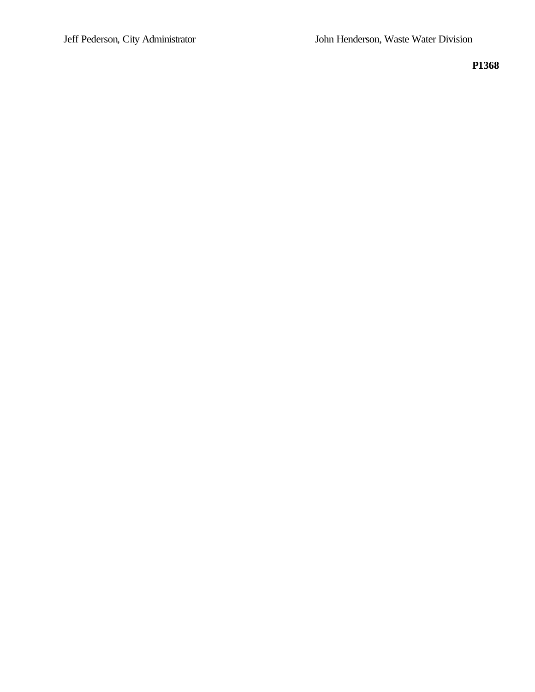**P1368**